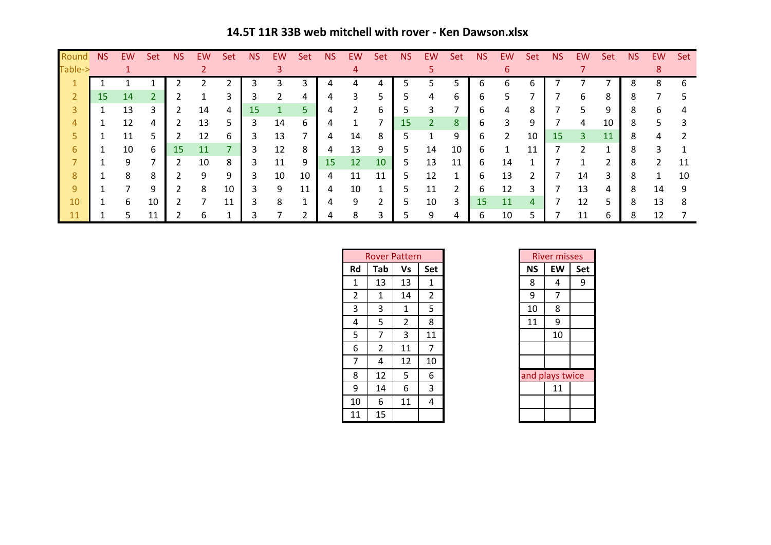**14.5T 11R 33B web mitchell with rover - Ken Dawson.xlsx**

| Round   | <b>NS</b> | <b>EW</b> | Set | <b>NS</b> | EW. | Set | <b>NS</b> | EW | Set | <b>NS</b> | EW | Set | <b>NS</b> | EW. | Set | NS           | EW             | Set | <b>NS</b> | EW             | Set | <b>NS</b> | EW | Set |
|---------|-----------|-----------|-----|-----------|-----|-----|-----------|----|-----|-----------|----|-----|-----------|-----|-----|--------------|----------------|-----|-----------|----------------|-----|-----------|----|-----|
| Table-> |           |           |     |           |     |     |           |    |     |           |    |     |           |     |     |              |                |     |           |                |     |           |    |     |
|         |           |           |     |           |     |     |           |    |     |           |    |     |           |     |     | <sub>b</sub> | 6              | h   |           |                |     | 8         | 8  | 6   |
| 2       | 15.       | 14        |     |           |     | 3   |           |    | 4   |           | 3  |     |           | 4   | 6   | b            | 5              |     |           | 6              | 8   | ŏ         |    |     |
|         |           | 13        |     |           | 14  | 4   | 15        |    |     | 4         |    | b   |           |     |     | b            | 4              | 8   |           | 5              | 9   | 8         | h  |     |
|         |           | 12        | 4   |           | 13  | 5.  | 3         | 14 | 6   |           |    |     | 15        |     | 8   | b            | 3              | 9   |           | 4              | 10  | 8         |    |     |
|         |           | 11        |     |           | 12  | 6   | ς         | 13 | ⇁   | 4         | 14 | 8   |           |     | 9   | b            | $\overline{2}$ | 10  | 15        | $\overline{3}$ | 11  | 8         |    |     |
| 6       |           | 10        | 6   | 15        | 11  |     | 3         | 12 | 8   | 4         | 13 | 9   |           | 14  | 10  | 6            | 1              | 11  |           |                |     |           |    |     |
|         |           | 9         |     | 2         | 10  | 8   | 3         | 11 | 9   | 15        | 12 | 10  | 5.        | 13  | 11  | b            | 14             | и   |           |                |     | 8         |    | 11  |
| 8       |           | 8         | 8   |           | Q   | 9   |           | 10 | 10  | 4         | 11 | 11  |           | 12  |     | b            | 13             | ີ   |           | 14             | 3   | 8         |    | 10  |
| 9       |           | ⇁         | 9   |           | 8   | 10  |           | 9  | 11  | 4         | 10 |     |           | 11  |     | 6            | 12             | 3   |           | 13             | 4   | 8         | 14 | 9   |
| 10      |           | 6         | 10  |           |     | 11  |           | 8  |     |           | q  | ົ   |           | 10  | 3   | 15           | 11             | 4   |           | 12             | 5   | 8         | 13 | 8   |
|         |           | 5         | 11  |           |     |     |           |    |     |           | 8  |     |           | 9   |     | 6            | 10             |     |           | 11             | 6   | 8         | 12 |     |

|                | <b>Rover Pattern</b> |    |                |           | <b>River misses</b> |     |
|----------------|----------------------|----|----------------|-----------|---------------------|-----|
| Rd             | Tab                  | Vs | Set            | <b>NS</b> | EW                  | Set |
| 1              | 13                   | 13 | 1              | 8         | 4                   |     |
| $\overline{2}$ | 1                    | 14 | $\overline{2}$ | 9         | 7                   |     |
| 3              | 3                    | 1  | 5              | 10        | 8                   |     |
| 4              | 5                    | 2  | 8              | 11        | 9                   |     |
| 5              | 7                    | 3  | 11             |           | 10                  |     |
| 6              | $\overline{2}$       | 11 | 7              |           |                     |     |
| 7              | 4                    | 12 | 10             |           |                     |     |
| 8              | 12                   | 5  | 6              |           | and plays twice     |     |
| 9              | 14                   | 6  | 3              |           | 11                  |     |
| 10             | 6                    | 11 | 4              |           |                     |     |
| 11             | 15                   |    |                |           |                     |     |

|    | River misses    |     |  |  |  |  |  |  |  |  |  |  |  |
|----|-----------------|-----|--|--|--|--|--|--|--|--|--|--|--|
| NS | EW              | Set |  |  |  |  |  |  |  |  |  |  |  |
| 8  | 4               | q   |  |  |  |  |  |  |  |  |  |  |  |
| 9  | 7               |     |  |  |  |  |  |  |  |  |  |  |  |
| 10 | 8               |     |  |  |  |  |  |  |  |  |  |  |  |
| 11 | 9               |     |  |  |  |  |  |  |  |  |  |  |  |
|    | 10              |     |  |  |  |  |  |  |  |  |  |  |  |
|    |                 |     |  |  |  |  |  |  |  |  |  |  |  |
|    |                 |     |  |  |  |  |  |  |  |  |  |  |  |
|    | and plays twice |     |  |  |  |  |  |  |  |  |  |  |  |
|    | 11              |     |  |  |  |  |  |  |  |  |  |  |  |
|    |                 |     |  |  |  |  |  |  |  |  |  |  |  |
|    |                 |     |  |  |  |  |  |  |  |  |  |  |  |